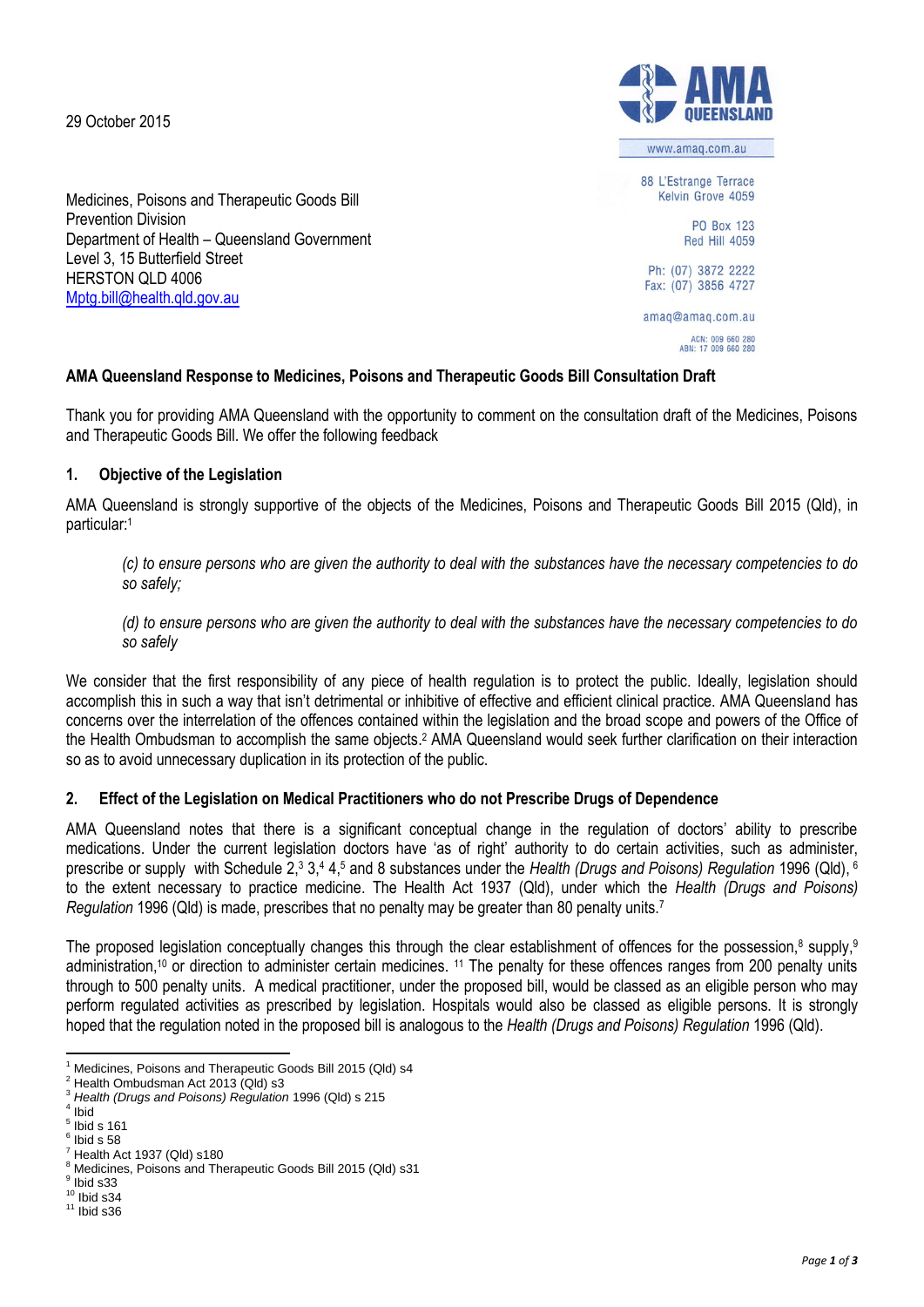29 October 2015





# **AMA Queensland Response to Medicines, Poisons and Therapeutic Goods Bill Consultation Draft**

Thank you for providing AMA Queensland with the opportunity to comment on the consultation draft of the Medicines, Poisons and Therapeutic Goods Bill. We offer the following feedback

## **1. Objective of the Legislation**

AMA Queensland is strongly supportive of the objects of the Medicines, Poisons and Therapeutic Goods Bill 2015 (Qld), in particular:<sup>1</sup>

*(c) to ensure persons who are given the authority to deal with the substances have the necessary competencies to do so safely;*

*(d) to ensure persons who are given the authority to deal with the substances have the necessary competencies to do so safely*

We consider that the first responsibility of any piece of health regulation is to protect the public. Ideally, legislation should accomplish this in such a way that isn't detrimental or inhibitive of effective and efficient clinical practice. AMA Queensland has concerns over the interrelation of the offences contained within the legislation and the broad scope and powers of the Office of the Health Ombudsman to accomplish the same objects. <sup>2</sup> AMA Queensland would seek further clarification on their interaction so as to avoid unnecessary duplication in its protection of the public.

# **2. Effect of the Legislation on Medical Practitioners who do not Prescribe Drugs of Dependence**

AMA Queensland notes that there is a significant conceptual change in the regulation of doctors' ability to prescribe medications. Under the current legislation doctors have 'as of right' authority to do certain activities, such as administer, prescribe or supply with Schedule 2,<sup>3</sup> 3,<sup>4</sup> 4,<sup>5</sup> and 8 substances under the *Health (Drugs and Poisons) Regulation* 1996 (Qld), <sup>6</sup> to the extent necessary to practice medicine. The Health Act 1937 (Qld), under which the *Health (Drugs and Poisons) Regulation* 1996 (Qld) is made, prescribes that no penalty may be greater than 80 penalty units.<sup>7</sup>

The proposed legislation conceptually changes this through the clear establishment of offences for the possession,<sup>8</sup> supply,<sup>9</sup> administration,<sup>10</sup> or direction to administer certain medicines. <sup>11</sup> The penalty for these offences ranges from 200 penalty units through to 500 penalty units. A medical practitioner, under the proposed bill, would be classed as an eligible person who may perform regulated activities as prescribed by legislation. Hospitals would also be classed as eligible persons. It is strongly hoped that the regulation noted in the proposed bill is analogous to the *Health (Drugs and Poisons) Regulation* 1996 (Qld).

 $\ddot{\phantom{a}}$ <sup>1</sup> Medicines, Poisons and Therapeutic Goods Bill 2015 (Qld) s4

<sup>&</sup>lt;sup>2</sup> Health Ombudsman Act 2013 (Qld) s3

<sup>3</sup> *Health (Drugs and Poisons) Regulation* 1996 (Qld) s 215

<sup>4</sup> Ibid

 $<sup>5</sup>$  Ibid s 161</sup>  $^6$  Ibid s 58

<sup>7</sup> Health Act 1937 (Qld) s180

<sup>&</sup>lt;sup>8</sup> Medicines, Poisons and Therapeutic Goods Bill 2015 (Qld) s31

 $^9$  Ibid s33

 $10$  Ibid s34

 $11$  Ibid s36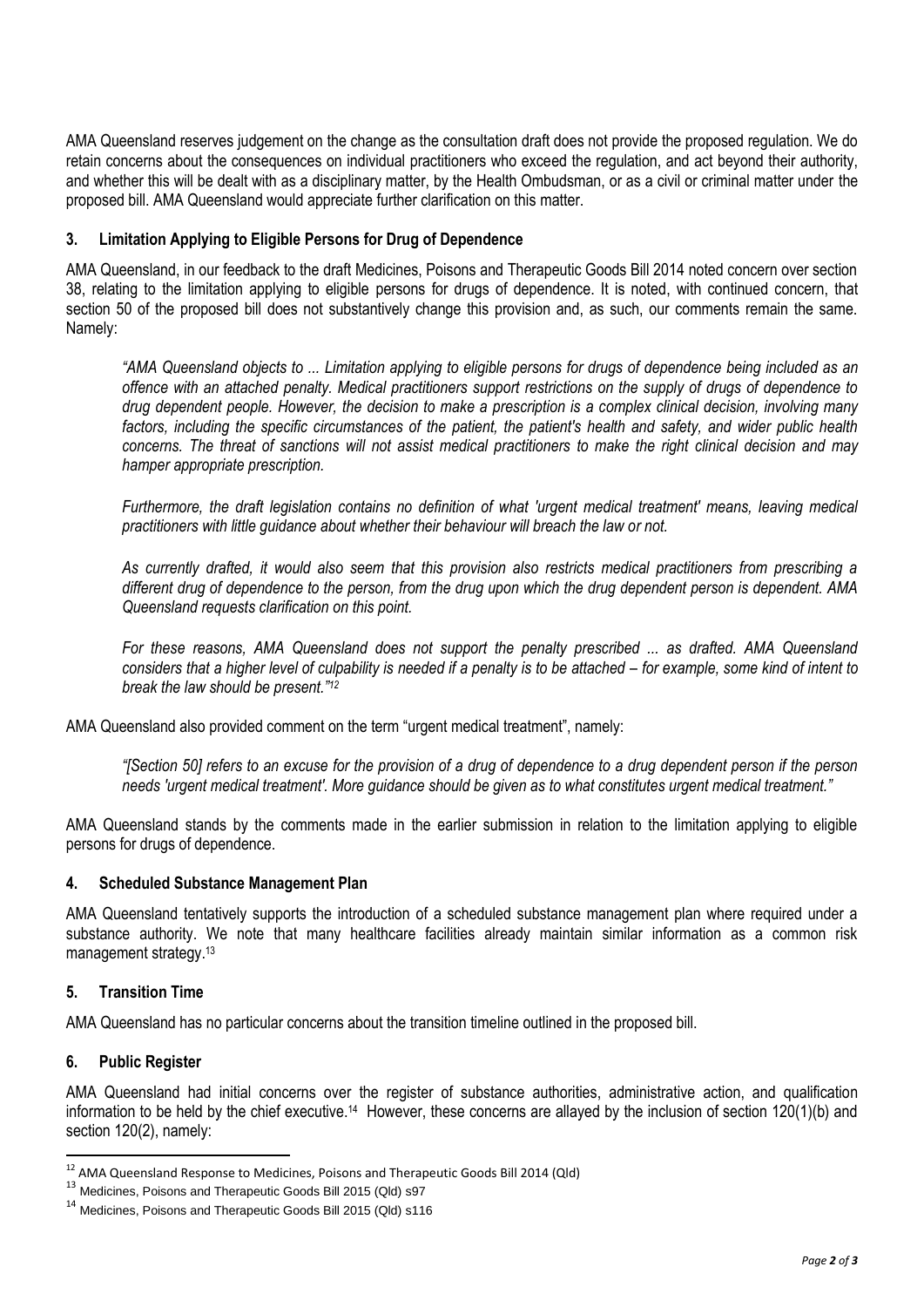AMA Queensland reserves judgement on the change as the consultation draft does not provide the proposed regulation. We do retain concerns about the consequences on individual practitioners who exceed the regulation, and act beyond their authority, and whether this will be dealt with as a disciplinary matter, by the Health Ombudsman, or as a civil or criminal matter under the proposed bill. AMA Queensland would appreciate further clarification on this matter.

## **3. Limitation Applying to Eligible Persons for Drug of Dependence**

AMA Queensland, in our feedback to the draft Medicines, Poisons and Therapeutic Goods Bill 2014 noted concern over section 38, relating to the limitation applying to eligible persons for drugs of dependence. It is noted, with continued concern, that section 50 of the proposed bill does not substantively change this provision and, as such, our comments remain the same. Namely:

*"AMA Queensland objects to ... Limitation applying to eligible persons for drugs of dependence being included as an offence with an attached penalty. Medical practitioners support restrictions on the supply of drugs of dependence to drug dependent people. However, the decision to make a prescription is a complex clinical decision, involving many factors, including the specific circumstances of the patient, the patient's health and safety, and wider public health concerns. The threat of sanctions will not assist medical practitioners to make the right clinical decision and may hamper appropriate prescription.* 

*Furthermore, the draft legislation contains no definition of what 'urgent medical treatment' means, leaving medical practitioners with little guidance about whether their behaviour will breach the law or not.* 

*As currently drafted, it would also seem that this provision also restricts medical practitioners from prescribing a different drug of dependence to the person, from the drug upon which the drug dependent person is dependent. AMA Queensland requests clarification on this point.* 

*For these reasons, AMA Queensland does not support the penalty prescribed ... as drafted. AMA Queensland considers that a higher level of culpability is needed if a penalty is to be attached – for example, some kind of intent to break the law should be present."<sup>12</sup>*

AMA Queensland also provided comment on the term "urgent medical treatment", namely:

*"[Section 50] refers to an excuse for the provision of a drug of dependence to a drug dependent person if the person needs 'urgent medical treatment'. More guidance should be given as to what constitutes urgent medical treatment."*

AMA Queensland stands by the comments made in the earlier submission in relation to the limitation applying to eligible persons for drugs of dependence.

#### **4. Scheduled Substance Management Plan**

AMA Queensland tentatively supports the introduction of a scheduled substance management plan where required under a substance authority. We note that many healthcare facilities already maintain similar information as a common risk management strategy.<sup>13</sup>

# **5. Transition Time**

AMA Queensland has no particular concerns about the transition timeline outlined in the proposed bill.

#### **6. Public Register**

 $\overline{a}$ 

AMA Queensland had initial concerns over the register of substance authorities, administrative action, and qualification information to be held by the chief executive.<sup>14</sup> However, these concerns are allayed by the inclusion of section 120(1)(b) and section 120(2), namely:

 $^{12}$  AMA Queensland Response to Medicines, Poisons and Therapeutic Goods Bill 2014 (Qld)

 $13$  Medicines, Poisons and Therapeutic Goods Bill 2015 (Qld) s97

<sup>14</sup> Medicines, Poisons and Therapeutic Goods Bill 2015 (Qld) s116